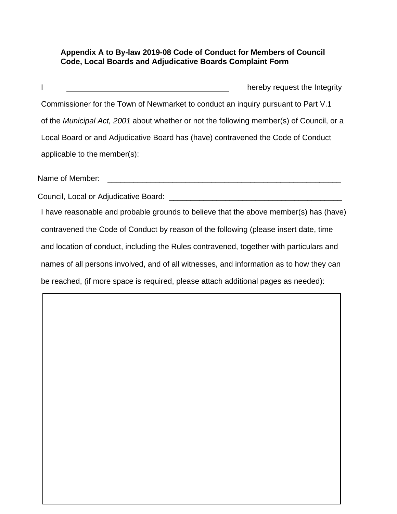## **Appendix A to By-law 2019-08 Code of Conduct for Members of Council Code, Local Boards and Adjudicative Boards Complaint Form**

I hereby request the Integrity Commissioner for the Town of Newmarket to conduct an inquiry pursuant to Part V.1 of the *Municipal Act, 2001* about whether or not the following member(s) of Council, or a Local Board or and Adjudicative Board has (have) contravened the Code of Conduct applicable to the member(s): Name of Member:  $\blacksquare$ Council, Local or Adjudicative Board: **Example 2018** 

I have reasonable and probable grounds to believe that the above member(s) has (have) contravened the Code of Conduct by reason of the following (please insert date, time and location of conduct, including the Rules contravened, together with particulars and names of all persons involved, and of all witnesses, and information as to how they can be reached, (if more space is required, please attach additional pages as needed):